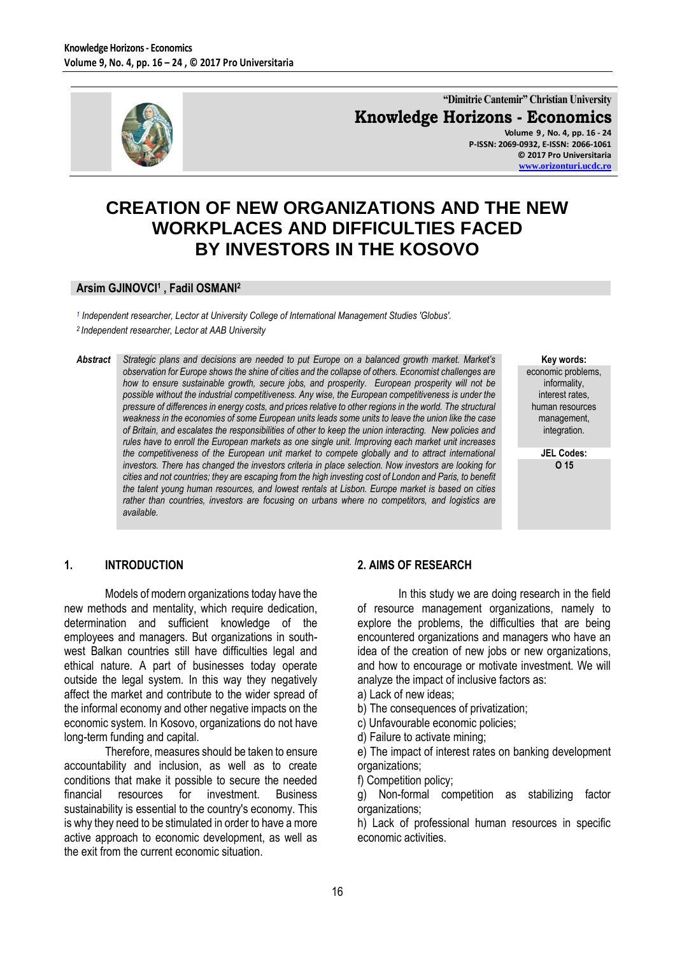

**"Dimitrie Cantemir" Christian University Knowledge Horizons - Economics**

**Volume 9 , No. 4, pp. 16 - 24 P-ISSN: 2069-0932, E-ISSN: 2066-1061 © 2017 Pro Universitaria [www.orizonturi.ucdc.ro](http://www.orizonturi.ucdc.ro/)**

# **CREATION OF NEW ORGANIZATIONS AND THE NEW WORKPLACES AND DIFFICULTIES FACED BY INVESTORS IN THE KOSOVO**

#### **Arsim GJINOVCI<sup>1</sup> , Fadil OSMANI<sup>2</sup>**

*1 Independent researcher, Lector at University College of International Management Studies 'Globus'. 2 Independent researcher, Lector at AAB University*

*Abstract Strategic plans and decisions are needed to put Europe on a balanced growth market. Market's observation for Europe shows the shine of cities and the collapse of others. Economist challenges are how to ensure sustainable growth, secure jobs, and prosperity. European prosperity will not be possible without the industrial competitiveness. Any wise, the European competitiveness is under the pressure of differences in energy costs, and prices relative to other regions in the world. The structural weakness in the economies of some European units leads some units to leave the union like the case of Britain, and escalates the responsibilities of other to keep the union interacting. New policies and rules have to enroll the European markets as one single unit. Improving each market unit increases the competitiveness of the European unit market to compete globally and to attract international investors. There has changed the investors criteria in place selection. Now investors are looking for cities and not countries; they are escaping from the high investing cost of London and Paris, to benefit the talent young human resources, and lowest rentals at Lisbon. Europe market is based on cities rather than countries, investors are focusing on urbans where no competitors, and logistics are available.* 

**Key words:**

economic problems, informality, interest rates, human resources management, integration.

> **JEL Codes: O 15**

#### **1. INTRODUCTION**

Models of modern organizations today have the new methods and mentality, which require dedication, determination and sufficient knowledge of the employees and managers. But organizations in southwest Balkan countries still have difficulties legal and ethical nature. A part of businesses today operate outside the legal system. In this way they negatively affect the market and contribute to the wider spread of the informal economy and other negative impacts on the economic system. In Kosovo, organizations do not have long-term funding and capital.

Therefore, measures should be taken to ensure accountability and inclusion, as well as to create conditions that make it possible to secure the needed<br>financial resources for investment. Business financial resources for investment. Business sustainability is essential to the country's economy. This is why they need to be stimulated in order to have a more active approach to economic development, as well as the exit from the current economic situation.

#### **2. AIMS OF RESEARCH**

In this study we are doing research in the field of resource management organizations, namely to explore the problems, the difficulties that are being encountered organizations and managers who have an idea of the creation of new jobs or new organizations, and how to encourage or motivate investment. We will analyze the impact of inclusive factors as:

- a) Lack of new ideas;
- b) The consequences of privatization;
- c) Unfavourable economic policies;
- d) Failure to activate mining;

e) The impact of interest rates on banking development organizations;

f) Competition policy;

g) Non-formal competition as stabilizing factor organizations;

h) Lack of professional human resources in specific economic activities.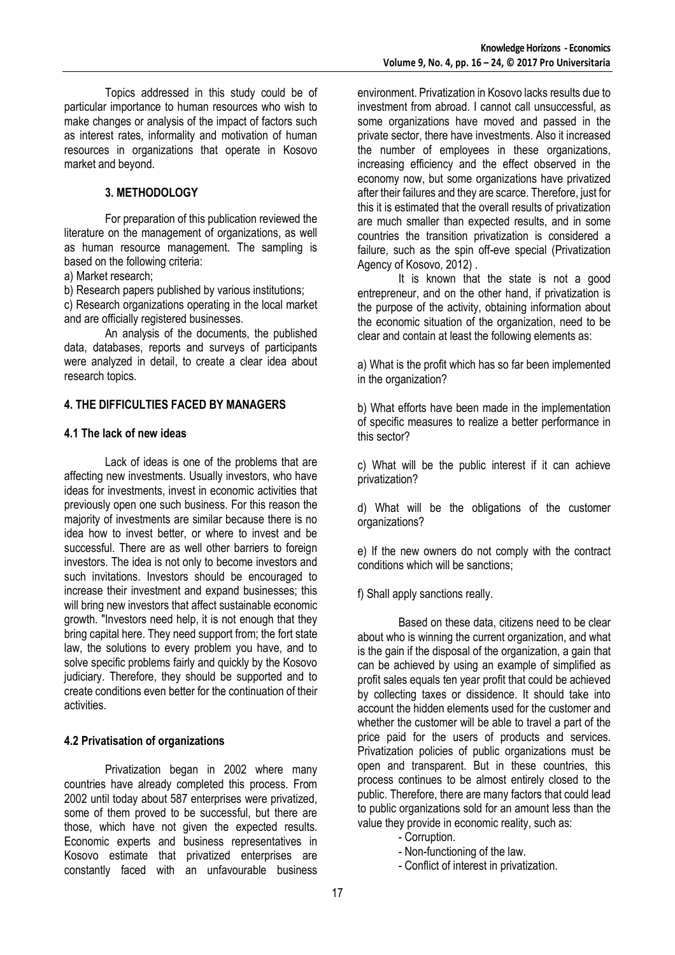Topics addressed in this study could be of particular importance to human resources who wish to make changes or analysis of the impact of factors such as interest rates, informality and motivation of human resources in organizations that operate in Kosovo market and beyond.

## **3. METHODOLOGY**

For preparation of this publication reviewed the literature on the management of organizations, as well as human resource management. The sampling is based on the following criteria:

a) Market research;

b) Research papers published by various institutions;

c) Research organizations operating in the local market and are officially registered businesses.

An analysis of the documents, the published data, databases, reports and surveys of participants were analyzed in detail, to create a clear idea about research topics.

#### **4. THE DIFFICULTIES FACED BY MANAGERS**

#### **4.1 The lack of new ideas**

Lack of ideas is one of the problems that are affecting new investments. Usually investors, who have ideas for investments, invest in economic activities that previously open one such business. For this reason the majority of investments are similar because there is no idea how to invest better, or where to invest and be successful. There are as well other barriers to foreign investors. The idea is not only to become investors and such invitations. Investors should be encouraged to increase their investment and expand businesses; this will bring new investors that affect sustainable economic growth. "Investors need help, it is not enough that they bring capital here. They need support from; the fort state law, the solutions to every problem you have, and to solve specific problems fairly and quickly by the Kosovo judiciary. Therefore, they should be supported and to create conditions even better for the continuation of their activities.

# **4.2 Privatisation of organizations**

Privatization began in 2002 where many countries have already completed this process. From 2002 until today about 587 enterprises were privatized, some of them proved to be successful, but there are those, which have not given the expected results. Economic experts and business representatives in Kosovo estimate that privatized enterprises are constantly faced with an unfavourable business

environment. Privatization in Kosovo lacks results due to investment from abroad. I cannot call unsuccessful, as some organizations have moved and passed in the private sector, there have investments. Also it increased the number of employees in these organizations, increasing efficiency and the effect observed in the economy now, but some organizations have privatized after their failures and they are scarce. Therefore, just for this it is estimated that the overall results of privatization are much smaller than expected results, and in some countries the transition privatization is considered a failure, such as the spin off-eve special (Privatization Agency of Kosovo, 2012) .

It is known that the state is not a good entrepreneur, and on the other hand, if privatization is the purpose of the activity, obtaining information about the economic situation of the organization, need to be clear and contain at least the following elements as:

a) What is the profit which has so far been implemented in the organization?

b) What efforts have been made in the implementation of specific measures to realize a better performance in this sector?

c) What will be the public interest if it can achieve privatization?

d) What will be the obligations of the customer organizations?

e) If the new owners do not comply with the contract conditions which will be sanctions;

f) Shall apply sanctions really.

Based on these data, citizens need to be clear about who is winning the current organization, and what is the gain if the disposal of the organization, a gain that can be achieved by using an example of simplified as profit sales equals ten year profit that could be achieved by collecting taxes or dissidence. It should take into account the hidden elements used for the customer and whether the customer will be able to travel a part of the price paid for the users of products and services. Privatization policies of public organizations must be open and transparent. But in these countries, this process continues to be almost entirely closed to the public. Therefore, there are many factors that could lead to public organizations sold for an amount less than the value they provide in economic reality, such as:

- Corruption.
- Non-functioning of the law.
- Conflict of interest in privatization.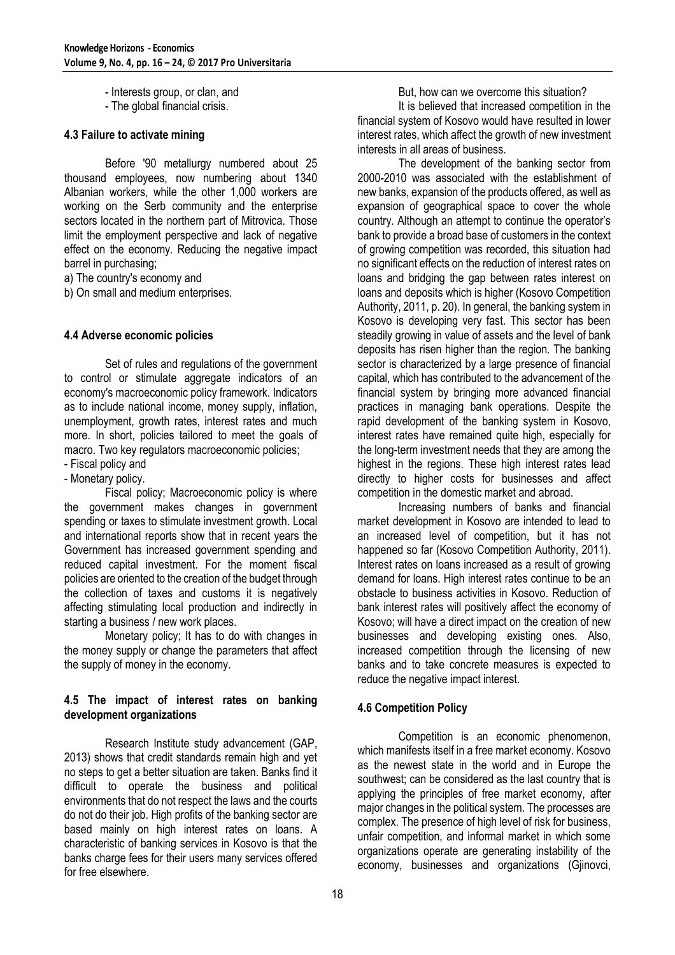- Interests group, or clan, and
- The global financial crisis.

# **4.3 Failure to activate mining**

Before '90 metallurgy numbered about 25 thousand employees, now numbering about 1340 Albanian workers, while the other 1,000 workers are working on the Serb community and the enterprise sectors located in the northern part of Mitrovica. Those limit the employment perspective and lack of negative effect on the economy. Reducing the negative impact barrel in purchasing;

a) The country's economy and

b) On small and medium enterprises.

### **4.4 Adverse economic policies**

Set of rules and regulations of the government to control or stimulate aggregate indicators of an economy's macroeconomic policy framework. Indicators as to include national income, money supply, inflation, unemployment, growth rates, interest rates and much more. In short, policies tailored to meet the goals of macro. Two key regulators macroeconomic policies;

- Fiscal policy and

- Monetary policy.

Fiscal policy; Macroeconomic policy is where the government makes changes in government spending or taxes to stimulate investment growth. Local and international reports show that in recent years the Government has increased government spending and reduced capital investment. For the moment fiscal policies are oriented to the creation of the budget through the collection of taxes and customs it is negatively affecting stimulating local production and indirectly in starting a business / new work places.

Monetary policy; It has to do with changes in the money supply or change the parameters that affect the supply of money in the economy.

# **4.5 The impact of interest rates on banking development organizations**

Research Institute study advancement (GAP, 2013) shows that credit standards remain high and yet no steps to get a better situation are taken. Banks find it difficult to operate the business and political environments that do not respect the laws and the courts do not do their job. High profits of the banking sector are based mainly on high interest rates on loans. A characteristic of banking services in Kosovo is that the banks charge fees for their users many services offered for free elsewhere.

But, how can we overcome this situation? It is believed that increased competition in the financial system of Kosovo would have resulted in lower interest rates, which affect the growth of new investment interests in all areas of business.

The development of the banking sector from 2000-2010 was associated with the establishment of new banks, expansion of the products offered, as well as expansion of geographical space to cover the whole country. Although an attempt to continue the operator's bank to provide a broad base of customers in the context of growing competition was recorded, this situation had no significant effects on the reduction of interest rates on loans and bridging the gap between rates interest on loans and deposits which is higher (Kosovo Competition Authority, 2011, p. 20). In general, the banking system in Kosovo is developing very fast. This sector has been steadily growing in value of assets and the level of bank deposits has risen higher than the region. The banking sector is characterized by a large presence of financial capital, which has contributed to the advancement of the financial system by bringing more advanced financial practices in managing bank operations. Despite the rapid development of the banking system in Kosovo, interest rates have remained quite high, especially for the long-term investment needs that they are among the highest in the regions. These high interest rates lead directly to higher costs for businesses and affect competition in the domestic market and abroad.

Increasing numbers of banks and financial market development in Kosovo are intended to lead to an increased level of competition, but it has not happened so far (Kosovo Competition Authority, 2011). Interest rates on loans increased as a result of growing demand for loans. High interest rates continue to be an obstacle to business activities in Kosovo. Reduction of bank interest rates will positively affect the economy of Kosovo; will have a direct impact on the creation of new businesses and developing existing ones. Also, increased competition through the licensing of new banks and to take concrete measures is expected to reduce the negative impact interest.

# **4.6 Competition Policy**

Competition is an economic phenomenon, which manifests itself in a free market economy. Kosovo as the newest state in the world and in Europe the southwest; can be considered as the last country that is applying the principles of free market economy, after major changes in the political system. The processes are complex. The presence of high level of risk for business, unfair competition, and informal market in which some organizations operate are generating instability of the economy, businesses and organizations (Gjinovci,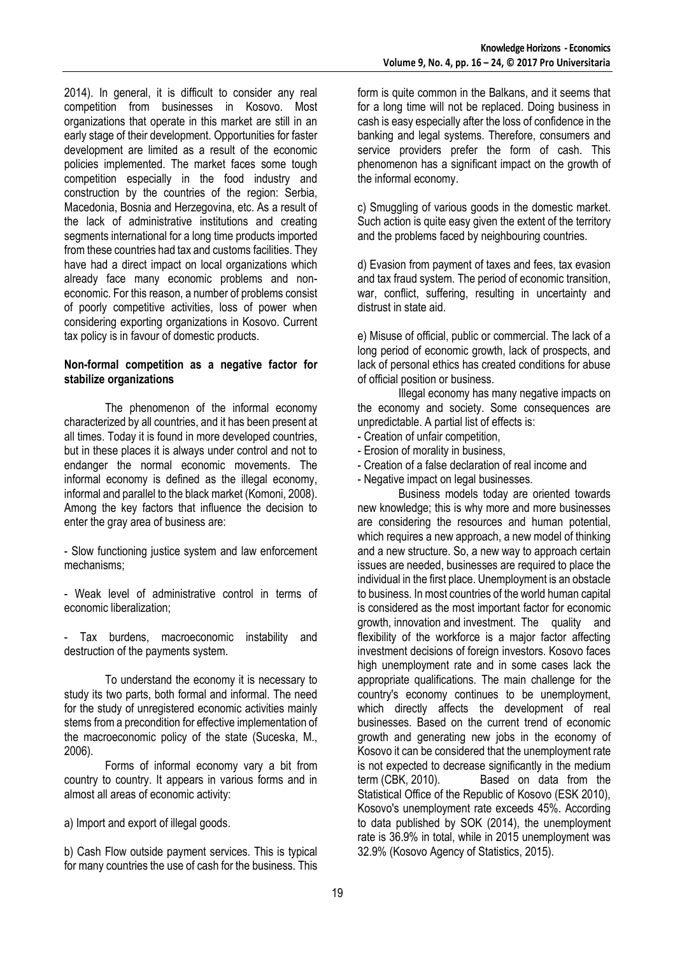2014). In general, it is difficult to consider any real competition from businesses in Kosovo. Most organizations that operate in this market are still in an early stage of their development. Opportunities for faster development are limited as a result of the economic policies implemented. The market faces some tough competition especially in the food industry and construction by the countries of the region: Serbia, Macedonia, Bosnia and Herzegovina, etc. As a result of the lack of administrative institutions and creating segments international for a long time products imported from these countries had tax and customs facilities. They have had a direct impact on local organizations which already face many economic problems and noneconomic. For this reason, a number of problems consist of poorly competitive activities, loss of power when considering exporting organizations in Kosovo. Current tax policy is in favour of domestic products.

## **Non-formal competition as a negative factor for stabilize organizations**

The phenomenon of the informal economy characterized by all countries, and it has been present at all times. Today it is found in more developed countries, but in these places it is always under control and not to endanger the normal economic movements. The informal economy is defined as the illegal economy, informal and parallel to the black market (Komoni, 2008). Among the key factors that influence the decision to enter the gray area of business are:

- Slow functioning justice system and law enforcement mechanisms;

- Weak level of administrative control in terms of economic liberalization;

- Tax burdens, macroeconomic instability and destruction of the payments system.

To understand the economy it is necessary to study its two parts, both formal and informal. The need for the study of unregistered economic activities mainly stems from a precondition for effective implementation of the macroeconomic policy of the state (Suceska, M., 2006).

Forms of informal economy vary a bit from country to country. It appears in various forms and in almost all areas of economic activity:

a) Import and export of illegal goods.

b) Cash Flow outside payment services. This is typical for many countries the use of cash for the business. This form is quite common in the Balkans, and it seems that for a long time will not be replaced. Doing business in cash is easy especially after the loss of confidence in the banking and legal systems. Therefore, consumers and service providers prefer the form of cash. This phenomenon has a significant impact on the growth of the informal economy.

c) Smuggling of various goods in the domestic market. Such action is quite easy given the extent of the territory and the problems faced by neighbouring countries.

d) Evasion from payment of taxes and fees, tax evasion and tax fraud system. The period of economic transition, war, conflict, suffering, resulting in uncertainty and distrust in state aid.

e) Misuse of official, public or commercial. The lack of a long period of economic growth, lack of prospects, and lack of personal ethics has created conditions for abuse of official position or business.

Illegal economy has many negative impacts on the economy and society. Some consequences are unpredictable. A partial list of effects is:

- Creation of unfair competition,
- Erosion of morality in business,
- Creation of a false declaration of real income and
- Negative impact on legal businesses.

Business models today are oriented towards new knowledge; this is why more and more businesses are considering the resources and human potential, which requires a new approach, a new model of thinking and a new structure. So, a new way to approach certain issues are needed, businesses are required to place the individual in the first place. Unemployment is an obstacle to business. In most countries of the world human capital is considered as the most important factor for economic growth, innovation and investment. The quality and flexibility of the workforce is a major factor affecting investment decisions of foreign investors. Kosovo faces high unemployment rate and in some cases lack the appropriate qualifications. The main challenge for the country's economy continues to be unemployment, which directly affects the development of real businesses. Based on the current trend of economic growth and generating new jobs in the economy of Kosovo it can be considered that the unemployment rate is not expected to decrease significantly in the medium term (CBK, 2010). Based on data from the Statistical Office of the Republic of Kosovo (ESK 2010), Kosovo's unemployment rate exceeds 45%. According to data published by SOK (2014), the unemployment rate is 36.9% in total, while in 2015 unemployment was 32.9% (Kosovo Agency of Statistics, 2015).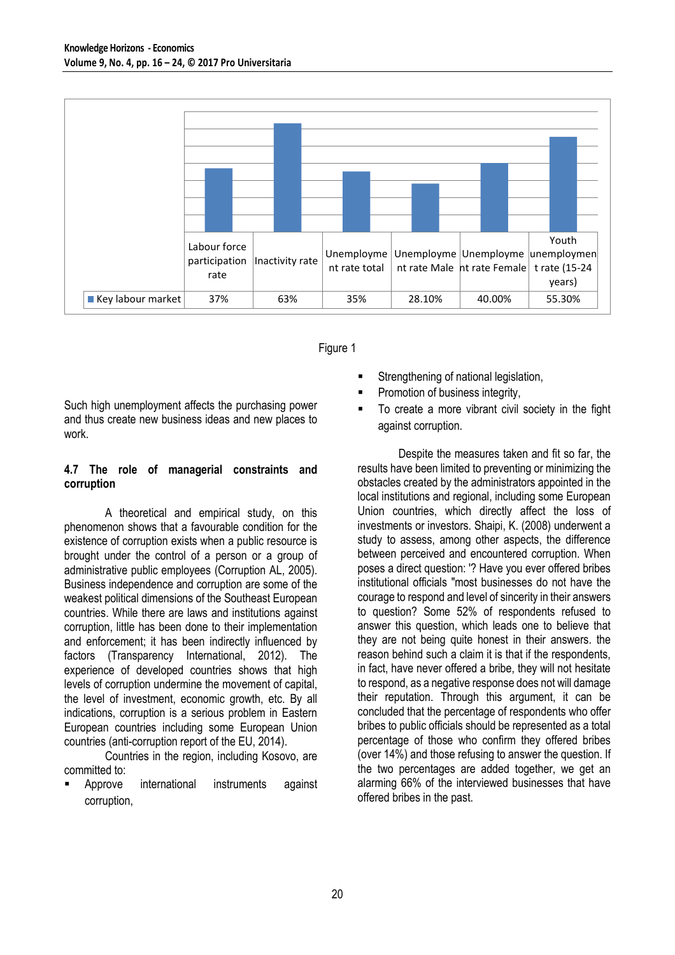



Such high unemployment affects the purchasing power and thus create new business ideas and new places to work.

## **4.7 The role of managerial constraints and corruption**

A theoretical and empirical study, on this phenomenon shows that a favourable condition for the existence of corruption exists when a public resource is brought under the control of a person or a group of administrative public employees (Corruption AL, 2005). Business independence and corruption are some of the weakest political dimensions of the Southeast European countries. While there are laws and institutions against corruption, little has been done to their implementation and enforcement; it has been indirectly influenced by factors (Transparency International, 2012). The experience of developed countries shows that high levels of corruption undermine the movement of capital, the level of investment, economic growth, etc. By all indications, corruption is a serious problem in Eastern European countries including some European Union countries (anti-corruption report of the EU, 2014).

Countries in the region, including Kosovo, are committed to:

 Approve international instruments against corruption,

- Strengthening of national legislation,
- Promotion of business integrity,
- To create a more vibrant civil society in the fight against corruption.

Despite the measures taken and fit so far, the results have been limited to preventing or minimizing the obstacles created by the administrators appointed in the local institutions and regional, including some European Union countries, which directly affect the loss of investments or investors. Shaipi, K. (2008) underwent a study to assess, among other aspects, the difference between perceived and encountered corruption. When poses a direct question: '? Have you ever offered bribes institutional officials "most businesses do not have the courage to respond and level of sincerity in their answers to question? Some 52% of respondents refused to answer this question, which leads one to believe that they are not being quite honest in their answers. the reason behind such a claim it is that if the respondents, in fact, have never offered a bribe, they will not hesitate to respond, as a negative response does not will damage their reputation. Through this argument, it can be concluded that the percentage of respondents who offer bribes to public officials should be represented as a total percentage of those who confirm they offered bribes (over 14%) and those refusing to answer the question. If the two percentages are added together, we get an alarming 66% of the interviewed businesses that have offered bribes in the past.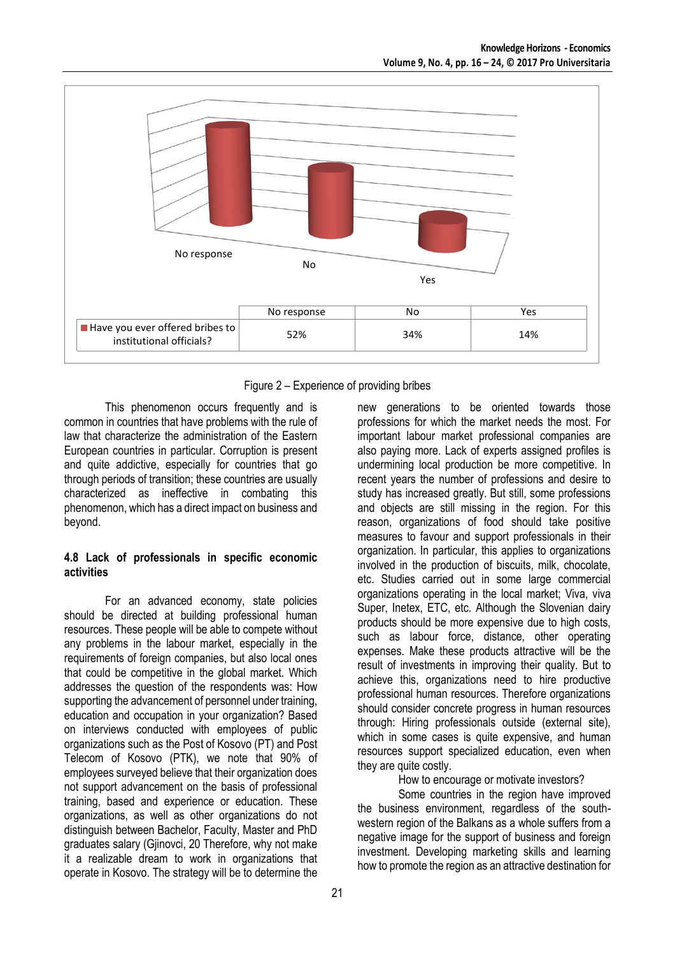

Figure 2 – Experience of providing bribes

This phenomenon occurs frequently and is common in countries that have problems with the rule of law that characterize the administration of the Eastern European countries in particular. Corruption is present and quite addictive, especially for countries that go through periods of transition; these countries are usually characterized as ineffective in combating this phenomenon, which has a direct impact on business and beyond.

### **4.8 Lack of professionals in specific economic activities**

For an advanced economy, state policies should be directed at building professional human resources. These people will be able to compete without any problems in the labour market, especially in the requirements of foreign companies, but also local ones that could be competitive in the global market. Which addresses the question of the respondents was: How supporting the advancement of personnel under training, education and occupation in your organization? Based on interviews conducted with employees of public organizations such as the Post of Kosovo (PT) and Post Telecom of Kosovo (PTK), we note that 90% of employees surveyed believe that their organization does not support advancement on the basis of professional training, based and experience or education. These organizations, as well as other organizations do not distinguish between Bachelor, Faculty, Master and PhD graduates salary (Gjinovci, 20 Therefore, why not make it a realizable dream to work in organizations that operate in Kosovo. The strategy will be to determine the

new generations to be oriented towards those professions for which the market needs the most. For important labour market professional companies are also paying more. Lack of experts assigned profiles is undermining local production be more competitive. In recent years the number of professions and desire to study has increased greatly. But still, some professions and objects are still missing in the region. For this reason, organizations of food should take positive measures to favour and support professionals in their organization. In particular, this applies to organizations involved in the production of biscuits, milk, chocolate, etc. Studies carried out in some large commercial organizations operating in the local market; Viva, viva Super, Inetex, ETC, etc. Although the Slovenian dairy products should be more expensive due to high costs, such as labour force, distance, other operating expenses. Make these products attractive will be the result of investments in improving their quality. But to achieve this, organizations need to hire productive professional human resources. Therefore organizations should consider concrete progress in human resources through: Hiring professionals outside (external site), which in some cases is quite expensive, and human resources support specialized education, even when they are quite costly.

How to encourage or motivate investors?

Some countries in the region have improved the business environment, regardless of the southwestern region of the Balkans as a whole suffers from a negative image for the support of business and foreign investment. Developing marketing skills and learning how to promote the region as an attractive destination for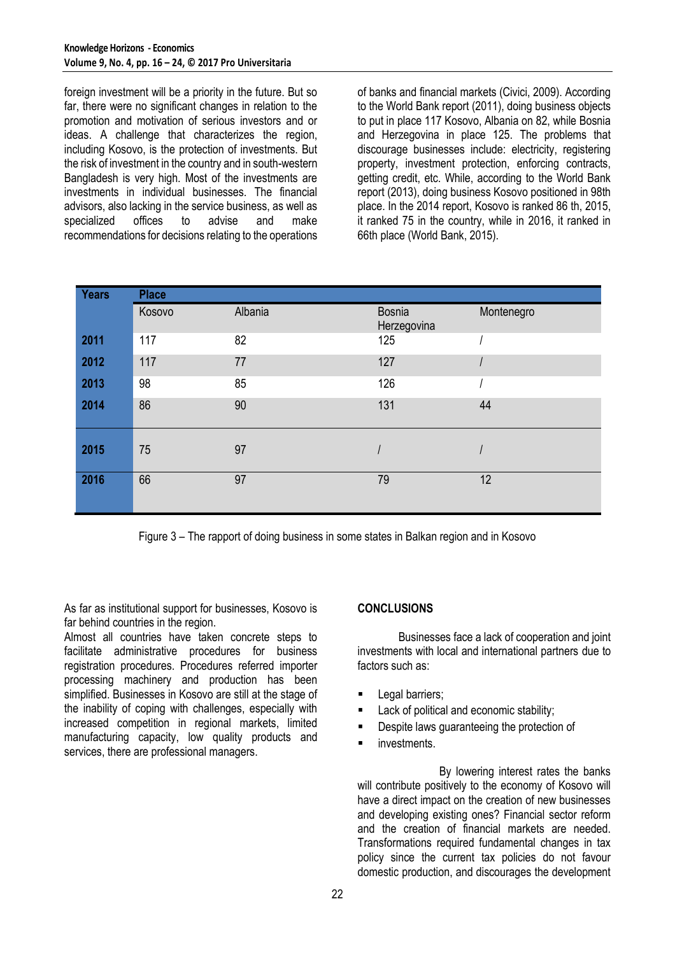foreign investment will be a priority in the future. But so far, there were no significant changes in relation to the promotion and motivation of serious investors and or ideas. A challenge that characterizes the region, including Kosovo, is the protection of investments. But the risk of investment in the country and in south-western Bangladesh is very high. Most of the investments are investments in individual businesses. The financial advisors, also lacking in the service business, as well as specialized offices to advise and make recommendations for decisions relating to the operations

of banks and financial markets (Civici, 2009). According to the World Bank report (2011), doing business objects to put in place 117 Kosovo, Albania on 82, while Bosnia and Herzegovina in place 125. The problems that discourage businesses include: electricity, registering property, investment protection, enforcing contracts, getting credit, etc. While, according to the World Bank report (2013), doing business Kosovo positioned in 98th place. In the 2014 report, Kosovo is ranked 86 th, 2015, it ranked 75 in the country, while in 2016, it ranked in 66th place (World Bank, 2015).

| <b>Years</b> | <b>Place</b> |         |                              |            |
|--------------|--------------|---------|------------------------------|------------|
|              | Kosovo       | Albania | <b>Bosnia</b><br>Herzegovina | Montenegro |
| 2011         | 117          | 82      | 125                          |            |
| 2012         | 117          | 77      | 127                          |            |
| 2013         | 98           | 85      | 126                          |            |
| 2014         | 86           | 90      | 131                          | 44         |
| 2015         | 75           | 97      |                              |            |
| 2016         | 66           | 97      | 79                           | 12         |

Figure 3 – The rapport of doing business in some states in Balkan region and in Kosovo

As far as institutional support for businesses, Kosovo is far behind countries in the region.

Almost all countries have taken concrete steps to facilitate administrative procedures for business registration procedures. Procedures referred importer processing machinery and production has been simplified. Businesses in Kosovo are still at the stage of the inability of coping with challenges, especially with increased competition in regional markets, limited manufacturing capacity, low quality products and services, there are professional managers.

# **CONCLUSIONS**

Businesses face a lack of cooperation and joint investments with local and international partners due to factors such as:

- Legal barriers;
- Lack of political and economic stability;
- Despite laws guaranteeing the protection of
- **nd** investments.

By lowering interest rates the banks will contribute positively to the economy of Kosovo will have a direct impact on the creation of new businesses and developing existing ones? Financial sector reform and the creation of financial markets are needed. Transformations required fundamental changes in tax policy since the current tax policies do not favour domestic production, and discourages the development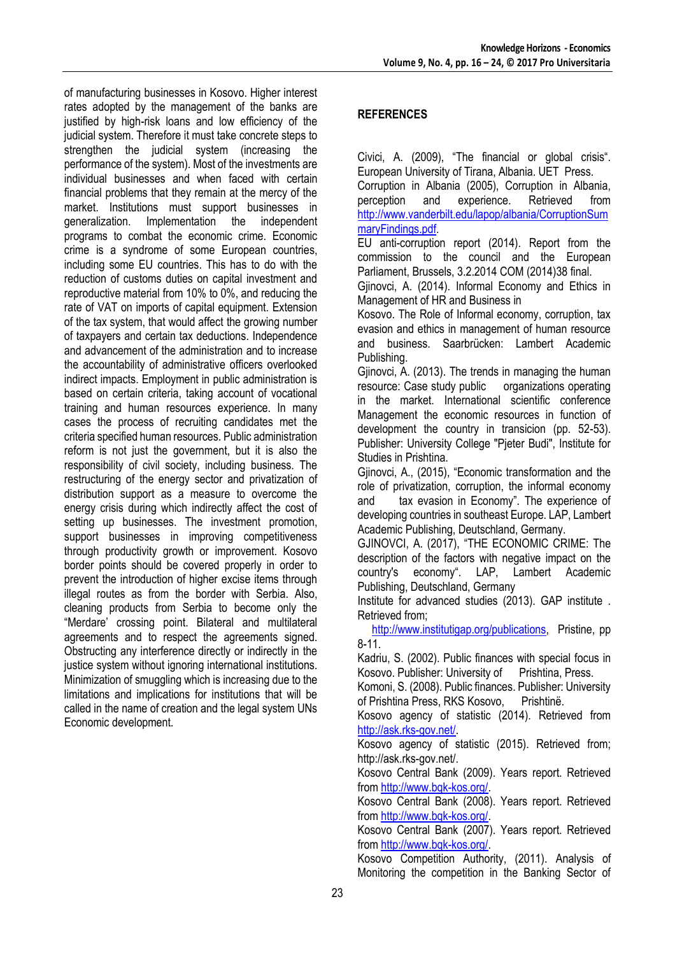of manufacturing businesses in Kosovo. Higher interest rates adopted by the management of the banks are justified by high-risk loans and low efficiency of the judicial system. Therefore it must take concrete steps to strengthen the judicial system (increasing the performance of the system). Most of the investments are individual businesses and when faced with certain financial problems that they remain at the mercy of the market. Institutions must support businesses in generalization. Implementation the independent programs to combat the economic crime. Economic crime is a syndrome of some European countries, including some EU countries. This has to do with the reduction of customs duties on capital investment and reproductive material from 10% to 0%, and reducing the rate of VAT on imports of capital equipment. Extension of the tax system, that would affect the growing number of taxpayers and certain tax deductions. Independence and advancement of the administration and to increase the accountability of administrative officers overlooked indirect impacts. Employment in public administration is based on certain criteria, taking account of vocational training and human resources experience. In many cases the process of recruiting candidates met the criteria specified human resources. Public administration reform is not just the government, but it is also the responsibility of civil society, including business. The restructuring of the energy sector and privatization of distribution support as a measure to overcome the energy crisis during which indirectly affect the cost of setting up businesses. The investment promotion, support businesses in improving competitiveness through productivity growth or improvement. Kosovo border points should be covered properly in order to prevent the introduction of higher excise items through illegal routes as from the border with Serbia. Also, cleaning products from Serbia to become only the "Merdare' crossing point. Bilateral and multilateral agreements and to respect the agreements signed. Obstructing any interference directly or indirectly in the justice system without ignoring international institutions. Minimization of smuggling which is increasing due to the limitations and implications for institutions that will be called in the name of creation and the legal system UNs Economic development.

# **REFERENCES**

Civici, A. (2009), "The financial or global crisis". European University of Tirana, Albania. UET Press.

Corruption in Albania (2005), Corruption in Albania, and experience. Retrieved from [http://www.vanderbilt.edu/lapop/albania/CorruptionSum](http://www.vanderbilt.edu/lapop/albania/CorruptionSummaryFindings.pdf) [maryFindings.pdf.](http://www.vanderbilt.edu/lapop/albania/CorruptionSummaryFindings.pdf)

EU anti-corruption report (2014). Report from the commission to the council and the European Parliament, Brussels, 3.2.2014 COM (2014)38 final.

Gjinovci, A. (2014). Informal Economy and Ethics in Management of HR and Business in

Kosovo. The Role of Informal economy, corruption, tax evasion and ethics in management of human resource and business. Saarbrücken: Lambert Academic Publishing.

Gjinovci, A. (2013). The trends in managing the human resource: Case study public organizations operating in the market. International scientific conference Management the economic resources in function of development the country in transicion (pp. 52-53). Publisher: University College "Pjeter Budi", Institute for Studies in Prishtina.

Gjinovci, A., (2015), "Economic transformation and the role of privatization, corruption, the informal economy and tax evasion in Economy". The experience of developing countries in southeast Europe. LAP, Lambert Academic Publishing, Deutschland, Germany.

GJINOVCI, A. (2017), "THE ECONOMIC CRIME: The description of the factors with negative impact on the country's economy". LAP, Lambert Academic Publishing, Deutschland, Germany

Institute for advanced studies (2013). GAP institute . Retrieved from;

 [http://www.institutigap.org/publications,](http://www.institutigap.org/publications) Pristine, pp 8-11.

Kadriu, S. (2002). Public finances with special focus in Kosovo. Publisher: University of Prishtina, Press.

Komoni, S. (2008). Public finances. Publisher: University of Prishtina Press, RKS Kosovo, Prishtinë.

Kosovo agency of statistic (2014). Retrieved from [http://ask.rks-gov.net/.](http://ask.rks-gov.net/)

Kosovo agency of statistic (2015). Retrieved from; http://ask.rks-gov.net/.

Kosovo Central Bank (2009). Years report. Retrieved from [http://www.bqk-kos.org/.](http://www.bqk-kos.org/)

Kosovo Central Bank (2008). Years report. Retrieved from [http://www.bqk-kos.org/.](http://www.bqk-kos.org/)

Kosovo Central Bank (2007). Years report. Retrieved from [http://www.bqk-kos.org/.](http://www.bqk-kos.org/)

Kosovo Competition Authority, (2011). Analysis of Monitoring the competition in the Banking Sector of